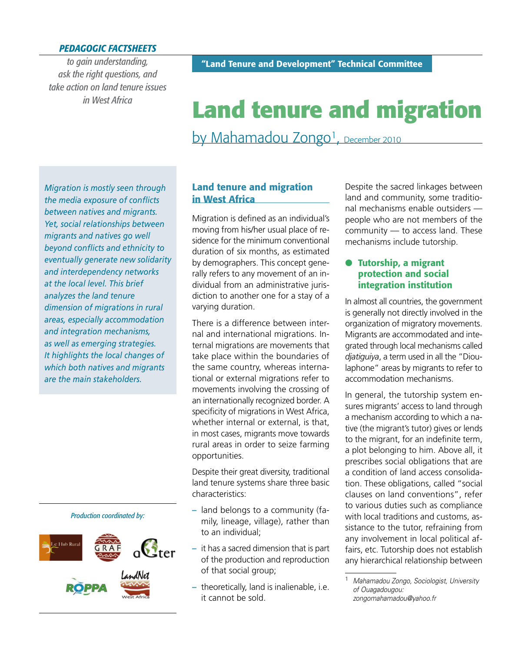### *PEDAGOGIC FACTSHEETS*

*to gain understanding, ask the right questions, and take action on land tenure issues in West Africa*

# **Land tenure and migration**

by Mahamadou Zongo<sup>1</sup>, December 2010

*Migration is mostly seen through the media exposure of confl icts between natives and migrants. Yet, social relationships between migrants and natives go well beyond confl icts and ethnicity to eventually generate new solidarity and interdependency networks at the local level. This brief analyzes the land tenure dimension of migrations in rural areas, especially accommodation and integration mechanisms, as well as emerging strategies. It highlights the local changes of which both natives and migrants are the main stakeholders.*

#### *Production coordinated by:*



## **Land tenure and migration in West Africa**

Migration is defined as an individual's moving from his/her usual place of residence for the minimum conventional duration of six months, as estimated by demographers. This concept generally refers to any movement of an individual from an administrative jurisdiction to another one for a stay of a varying duration.

There is a difference between internal and international migrations. Internal migrations are movements that take place within the boundaries of the same country, whereas international or external migrations refer to movements involving the crossing of an internationally recognized border. A specificity of migrations in West Africa, whether internal or external, is that, in most cases, migrants move towards rural areas in order to seize farming opportunities.

Despite their great diversity, traditional land tenure systems share three basic characteristics:

- **–** land belongs to a community (family, lineage, village), rather than to an individual;
- **–** it has a sacred dimension that is part of the production and reproduction of that social group;
- **–** theoretically, land is inalienable, i.e. it cannot be sold.

Despite the sacred linkages between land and community, some traditional mechanisms enable outsiders people who are not members of the community — to access land. These mechanisms include tutorship.

#### **Tutorship, a migrant protection and social integration institution**

In almost all countries, the government is generally not directly involved in the organization of migratory movements. Migrants are accommodated and integrated through local mechanisms called *djatiguiya*, a term used in all the "Dioulaphone" areas by migrants to refer to accommodation mechanisms.

In general, the tutorship system ensures migrants' access to land through a mechanism according to which a native (the migrant's tutor) gives or lends to the migrant, for an indefinite term, a plot belonging to him. Above all, it prescribes social obligations that are a condition of land access consolidation. These obligations, called "social clauses on land conventions", refer to various duties such as compliance with local traditions and customs, assistance to the tutor, refraining from any involvement in local political affairs, etc. Tutorship does not establish any hierarchical relationship between

<sup>1</sup> *Mahamadou Zongo, Sociologist, University of Ouagadougou: zongomahamadou@yahoo.fr*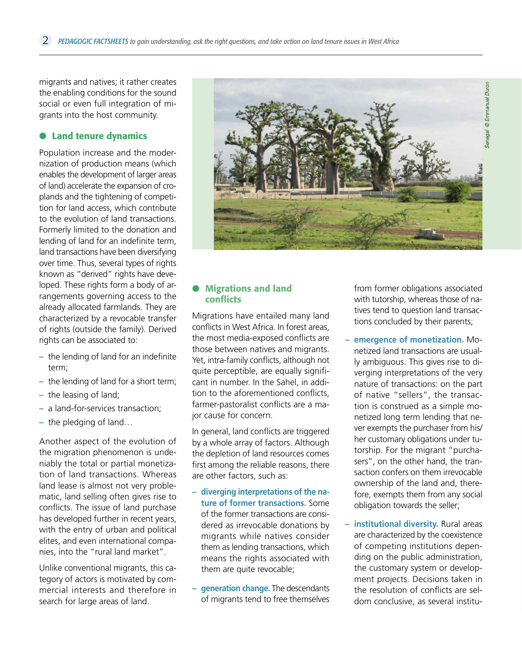migrants and natives; it rather creates the enabling conditions for the sound social or even full integration of migrants into the host community.

#### **Land tenure dynamics**

Population increase and the modernization of production means (which enables the development of larger areas of land) accelerate the expansion of croplands and the tightening of competition for land access, which contribute to the evolution of land transactions. Formerly limited to the donation and lending of land for an indefinite term, land transactions have been diversifying over time. Thus, several types of rights known as "derived" rights have developed. These rights form a body of arrangements governing access to the already allocated farmlands. They are characterized by a revocable transfer of rights (outside the family). Derived rights can be associated to:

- the lending of land for an indefinite term;
- **–** the lending of land for a short term;
- **–** the leasing of land;
- **–** a land-for-services transaction;
- **–** the pledging of land…

Another aspect of the evolution of the migration phenomenon is undeniably the total or partial monetization of land transactions. Whereas land lease is almost not very problematic, land selling often gives rise to conflicts. The issue of land purchase has developed further in recent years, with the entry of urban and political elites, and even international companies, into the "rural land market".

Unlike conventional migrants, this category of actors is motivated by commercial interests and therefore in search for large areas of land.



#### **Migrations and land conflicts**

Migrations have entailed many land conflicts in West Africa. In forest areas, the most media-exposed conflicts are those between natives and migrants. Yet, intra-family conflicts, although not quite perceptible, are equally significant in number. In the Sahel, in addition to the aforementioned conflicts, farmer-pastoralist conflicts are a major cause for concern.

In general, land conflicts are triggered by a whole array of factors. Although the depletion of land resources comes first among the reliable reasons, there are other factors, such as:

- **– diverging interpretations of the nature of former transactions.** Some of the former transactions are considered as irrevocable donations by migrants while natives consider them as lending transactions, which means the rights associated with them are quite revocable;
- **– generation change.** The descendants of migrants tend to free themselves

from former obligations associated with tutorship, whereas those of natives tend to question land transactions concluded by their parents;

- **– emergence of monetization.** Monetized land transactions are usually ambiguous. This gives rise to diverging interpretations of the very nature of transactions: on the part of native "sellers", the transaction is construed as a simple monetized long term lending that never exempts the purchaser from his/ her customary obligations under tutorship. For the migrant "purchasers", on the other hand, the transaction confers on them irrevocable ownership of the land and, therefore, exempts them from any social obligation towards the seller;
- **– institutional diversity.** Rural areas are characterized by the coexistence of competing institutions depending on the public administration, the customary system or development projects. Decisions taken in the resolution of conflicts are seldom conclusive, as several institu-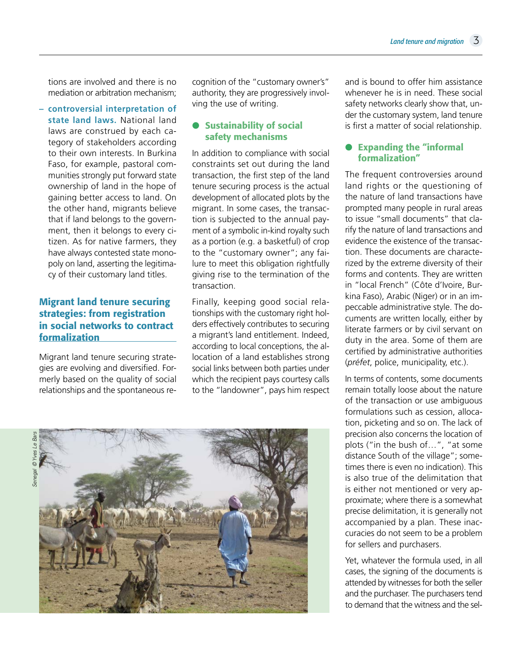tions are involved and there is no mediation or arbitration mechanism;

**– controversial interpretation of state land laws.** National land laws are construed by each category of stakeholders according to their own interests. In Burkina Faso, for example, pastoral communities strongly put forward state ownership of land in the hope of gaining better access to land. On the other hand, migrants believe that if land belongs to the government, then it belongs to every citizen. As for native farmers, they have always contested state monopoly on land, asserting the legitimacy of their customary land titles.

# **Migrant land tenure securing strategies: from registration in social networks to contract formalization**

Migrant land tenure securing strategies are evolving and diversified. Formerly based on the quality of social relationships and the spontaneous re-

cognition of the "customary owner's" authority, they are progressively involving the use of writing.

### **B** Sustainability of social **safety mechanisms**

In addition to compliance with social constraints set out during the land transaction, the first step of the land tenure securing process is the actual development of allocated plots by the migrant. In some cases, the transaction is subjected to the annual payment of a symbolic in-kind royalty such as a portion (e.g. a basketful) of crop to the "customary owner"; any failure to meet this obligation rightfully giving rise to the termination of the transaction.

Finally, keeping good social relationships with the customary right holders effectively contributes to securing a migrant's land entitlement. Indeed, according to local conceptions, the allocation of a land establishes strong social links between both parties under which the recipient pays courtesy calls to the "landowner", pays him respect





and is bound to offer him assistance whenever he is in need. These social safety networks clearly show that, under the customary system, land tenure is first a matter of social relationship.

### **Expanding the "informal formalization"**

The frequent controversies around land rights or the questioning of the nature of land transactions have prompted many people in rural areas to issue "small documents" that clarify the nature of land transactions and evidence the existence of the transaction. These documents are characterized by the extreme diversity of their forms and contents. They are written in "local French" (Côte d'Ivoire, Burkina Faso), Arabic (Niger) or in an impeccable administrative style. The documents are written locally, either by literate farmers or by civil servant on duty in the area. Some of them are certified by administrative authorities (*préfet*, police, municipality, etc.).

In terms of contents, some documents remain totally loose about the nature of the transaction or use ambiguous formulations such as cession, allocation, picketing and so on. The lack of precision also concerns the location of plots ("in the bush of…", "at some distance South of the village"; sometimes there is even no indication). This is also true of the delimitation that is either not mentioned or very approximate; where there is a somewhat precise delimitation, it is generally not accompanied by a plan. These inaccuracies do not seem to be a problem for sellers and purchasers.

Yet, whatever the formula used, in all cases, the signing of the documents is attended by witnesses for both the seller and the purchaser. The purchasers tend to demand that the witness and the sel